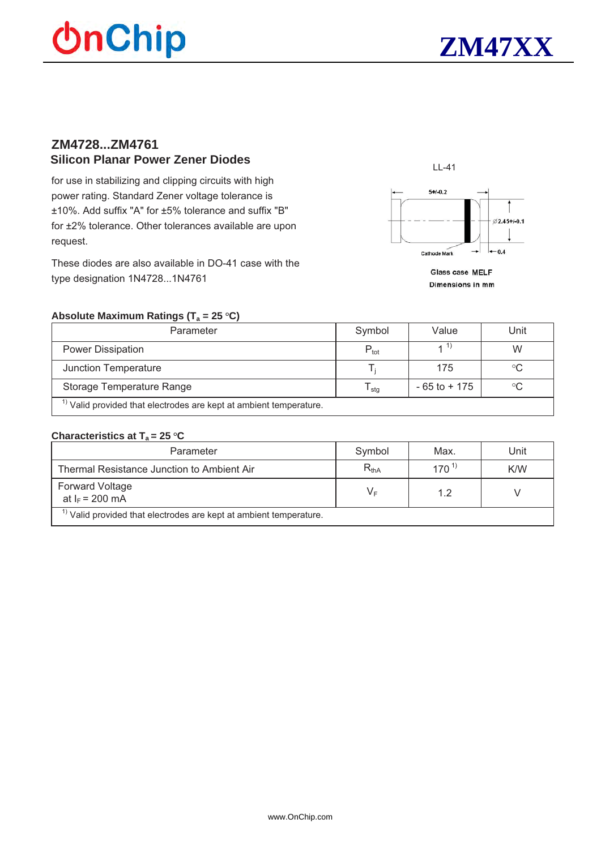# **OnChip**



### **ZM4728...ZM4761 Silicon Planar Power Zener Diodes**

for use in stabilizing and clipping circuits with high power rating. Standard Zener voltage tolerance is ±10%. Add suffix "A" for ±5% tolerance and suffix "B" for ±2% tolerance. Other tolerances available are upon request.

These diodes are also available in DO-41 case with the type designation 1N4728...1N4761



Glass case MELF Dimensions in mm

#### Absolute Maximum Ratings (T<sub>a</sub> = 25 °C)

| Parameter                                                                     | Symbol                      | Value           | Unit |  |  |  |
|-------------------------------------------------------------------------------|-----------------------------|-----------------|------|--|--|--|
| <b>Power Dissipation</b>                                                      | $\mathsf{P}_{\mathsf{tot}}$ |                 | W    |  |  |  |
| <b>Junction Temperature</b>                                                   |                             | 175             | °C   |  |  |  |
| Storage Temperature Range                                                     | l sta                       | $-65$ to $+175$ | °C   |  |  |  |
| <sup>1)</sup> Valid provided that electrodes are kept at ambient temperature. |                             |                 |      |  |  |  |

#### **Characteristics at T<sub>a</sub> = 25 °C**

| Parameter                                                                     | Symbol    | Max.      | Unit |  |  |  |
|-------------------------------------------------------------------------------|-----------|-----------|------|--|--|--|
| Thermal Resistance Junction to Ambient Air                                    | $R_{thA}$ | $170^{1}$ | K/W  |  |  |  |
| <b>Forward Voltage</b><br>at $I_F$ = 200 mA                                   | V⊧        | 1.2       |      |  |  |  |
| <sup>1)</sup> Valid provided that electrodes are kept at ambient temperature. |           |           |      |  |  |  |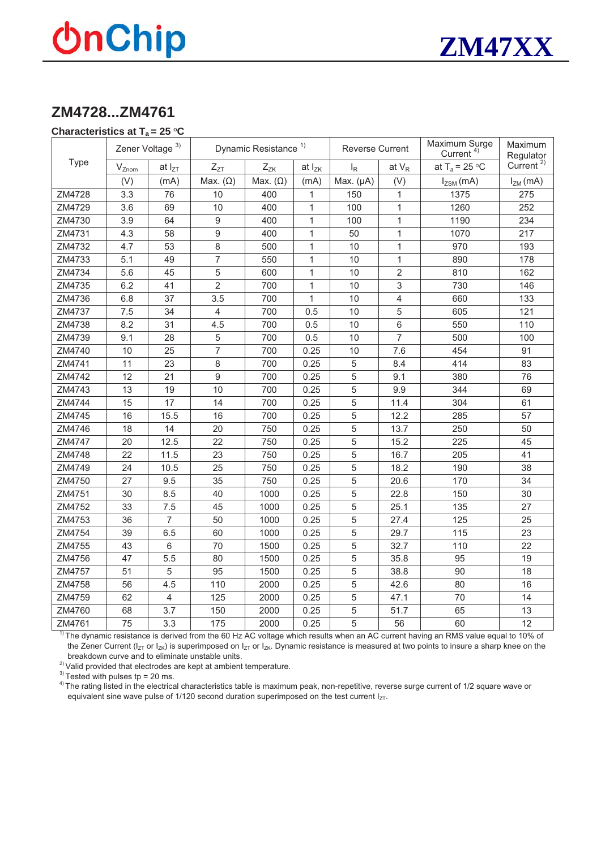## **UnChip**



### **ZM4728...ZM4761**

#### **Characteristics at**  $T_a = 25 \degree C$

|        | Zener Voltage <sup>3)</sup> |                 | Dynamic Resistance <sup>1)</sup> |                 | <b>Reverse Current</b> |                | Maximum Surge<br>Current <sup>4)</sup> | Maximum<br>Regulator      |                       |
|--------|-----------------------------|-----------------|----------------------------------|-----------------|------------------------|----------------|----------------------------------------|---------------------------|-----------------------|
| Type   | $V_{Znom}$                  | at $I_{ZT}$     | $Z_{ZT}$                         | $Z_{ZK}$        | at $I_{ZK}$            | $I_R$          | at $V_R$                               | at T <sub>a</sub> = 25 °C | Current <sup>2)</sup> |
|        | (V)                         | (mA)            | Max. $(\Omega)$                  | Max. $(\Omega)$ | (mA)                   | Max. $(\mu A)$ | (V)                                    | $I_{ZSM}(mA)$             | $I_{ZM}$ (mA)         |
| ZM4728 | 3.3                         | 76              | 10                               | 400             | 1                      | 150            | $\mathbf{1}$                           | 1375                      | 275                   |
| ZM4729 | 3.6                         | 69              | 10                               | 400             | 1                      | 100            | $\mathbf{1}$                           | 1260                      | 252                   |
| ZM4730 | 3.9                         | 64              | 9                                | 400             | 1                      | 100            | $\mathbf{1}$                           | 1190                      | 234                   |
| ZM4731 | 4.3                         | 58              | 9                                | 400             | 1                      | 50             | $\mathbf{1}$                           | 1070                      | 217                   |
| ZM4732 | 4.7                         | 53              | 8                                | 500             | 1                      | 10             | $\mathbf{1}$                           | 970                       | 193                   |
| ZM4733 | 5.1                         | 49              | $\overline{7}$                   | 550             | 1                      | 10             | $\mathbf{1}$                           | 890                       | 178                   |
| ZM4734 | 5.6                         | 45              | 5                                | 600             | 1                      | 10             | $\overline{2}$                         | 810                       | 162                   |
| ZM4735 | 6.2                         | 41              | $\overline{2}$                   | 700             | 1                      | 10             | 3                                      | 730                       | 146                   |
| ZM4736 | 6.8                         | 37              | 3.5                              | 700             | 1                      | 10             | $\overline{4}$                         | 660                       | 133                   |
| ZM4737 | 7.5                         | 34              | $\overline{4}$                   | 700             | 0.5                    | 10             | 5                                      | 605                       | 121                   |
| ZM4738 | 8.2                         | 31              | 4.5                              | 700             | 0.5                    | 10             | $6\,$                                  | 550                       | 110                   |
| ZM4739 | 9.1                         | 28              | 5                                | 700             | 0.5                    | 10             | $\overline{7}$                         | 500                       | 100                   |
| ZM4740 | 10                          | 25              | $\overline{7}$                   | 700             | 0.25                   | 10             | 7.6                                    | 454                       | 91                    |
| ZM4741 | 11                          | 23              | 8                                | 700             | 0.25                   | 5              | 8.4                                    | 414                       | 83                    |
| ZM4742 | 12                          | 21              | $\boldsymbol{9}$                 | 700             | 0.25                   | 5              | 9.1                                    | 380                       | 76                    |
| ZM4743 | 13                          | 19              | 10                               | 700             | 0.25                   | 5              | 9.9                                    | 344                       | 69                    |
| ZM4744 | 15                          | 17              | 14                               | 700             | 0.25                   | 5              | 11.4                                   | 304                       | 61                    |
| ZM4745 | 16                          | 15.5            | 16                               | 700             | 0.25                   | 5              | 12.2                                   | 285                       | 57                    |
| ZM4746 | 18                          | 14              | 20                               | 750             | 0.25                   | 5              | 13.7                                   | 250                       | 50                    |
| ZM4747 | 20                          | 12.5            | 22                               | 750             | 0.25                   | 5              | 15.2                                   | 225                       | 45                    |
| ZM4748 | 22                          | 11.5            | 23                               | 750             | 0.25                   | 5              | 16.7                                   | 205                       | 41                    |
| ZM4749 | 24                          | 10.5            | 25                               | 750             | 0.25                   | 5              | 18.2                                   | 190                       | 38                    |
| ZM4750 | 27                          | 9.5             | 35                               | 750             | 0.25                   | 5              | 20.6                                   | 170                       | 34                    |
| ZM4751 | 30                          | 8.5             | 40                               | 1000            | 0.25                   | 5              | 22.8                                   | 150                       | 30                    |
| ZM4752 | 33                          | 7.5             | 45                               | 1000            | 0.25                   | 5              | 25.1                                   | 135                       | 27                    |
| ZM4753 | 36                          | $\overline{7}$  | 50                               | 1000            | 0.25                   | 5              | 27.4                                   | 125                       | 25                    |
| ZM4754 | 39                          | 6.5             | 60                               | 1000            | 0.25                   | 5              | 29.7                                   | 115                       | 23                    |
| ZM4755 | 43                          | $6\phantom{1}6$ | 70                               | 1500            | 0.25                   | 5              | 32.7                                   | 110                       | 22                    |
| ZM4756 | 47                          | 5.5             | 80                               | 1500            | 0.25                   | 5              | 35.8                                   | 95                        | 19                    |
| ZM4757 | 51                          | 5               | 95                               | 1500            | 0.25                   | 5              | 38.8                                   | 90                        | 18                    |
| ZM4758 | 56                          | 4.5             | 110                              | 2000            | 0.25                   | 5              | 42.6                                   | 80                        | 16                    |
| ZM4759 | 62                          | $\overline{4}$  | 125                              | 2000            | 0.25                   | 5              | 47.1                                   | 70                        | 14                    |
| ZM4760 | 68                          | 3.7             | 150                              | 2000            | 0.25                   | 5              | 51.7                                   | 65                        | 13                    |
| ZM4761 | 75                          | 3.3             | 175                              | 2000            | 0.25                   | 5              | 56                                     | 60                        | 12                    |

 $1$ <sup>The dynamic resistance is derived from the 60 Hz AC voltage which results when an AC current having an RMS value equal to 10% of</sup> the Zener Current ( $I_{ZT}$  or  $I_{ZK}$ ) is superimposed on  $I_{ZT}$  or  $I_{ZK}$ . Dynamic resistance is measured at two points to insure a sharp knee on the breakdown curve and to eliminate unstable units.

 $2)$  Valid provided that electrodes are kept at ambient temperature.

 $3)$  Tested with pulses tp = 20 ms.

<sup>4)</sup> The rating listed in the electrical characteristics table is maximum peak, non-repetitive, reverse surge current of 1/2 square wave or equivalent sine wave pulse of 1/120 second duration superimposed on the test current  $I_{ZT}$ .